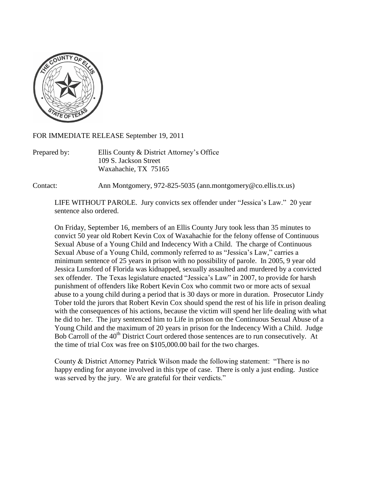

FOR IMMEDIATE RELEASE September 19, 2011

Prepared by: Ellis County & District Attorney's Office 109 S. Jackson Street Waxahachie, TX 75165

Contact: Ann Montgomery, 972-825-5035 (ann.montgomery@co.ellis.tx.us)

LIFE WITHOUT PAROLE. Jury convicts sex offender under "Jessica's Law." 20 year sentence also ordered.

On Friday, September 16, members of an Ellis County Jury took less than 35 minutes to convict 50 year old Robert Kevin Cox of Waxahachie for the felony offense of Continuous Sexual Abuse of a Young Child and Indecency With a Child. The charge of Continuous Sexual Abuse of a Young Child, commonly referred to as "Jessica's Law," carries a minimum sentence of 25 years in prison with no possibility of parole. In 2005, 9 year old Jessica Lunsford of Florida was kidnapped, sexually assaulted and murdered by a convicted sex offender. The Texas legislature enacted "Jessica's Law" in 2007, to provide for harsh punishment of offenders like Robert Kevin Cox who commit two or more acts of sexual abuse to a young child during a period that is 30 days or more in duration. Prosecutor Lindy Tober told the jurors that Robert Kevin Cox should spend the rest of his life in prison dealing with the consequences of his actions, because the victim will spend her life dealing with what he did to her. The jury sentenced him to Life in prison on the Continuous Sexual Abuse of a Young Child and the maximum of 20 years in prison for the Indecency With a Child. Judge Bob Carroll of the 40<sup>th</sup> District Court ordered those sentences are to run consecutively. At the time of trial Cox was free on \$105,000.00 bail for the two charges.

County & District Attorney Patrick Wilson made the following statement: "There is no happy ending for anyone involved in this type of case. There is only a just ending. Justice was served by the jury. We are grateful for their verdicts."